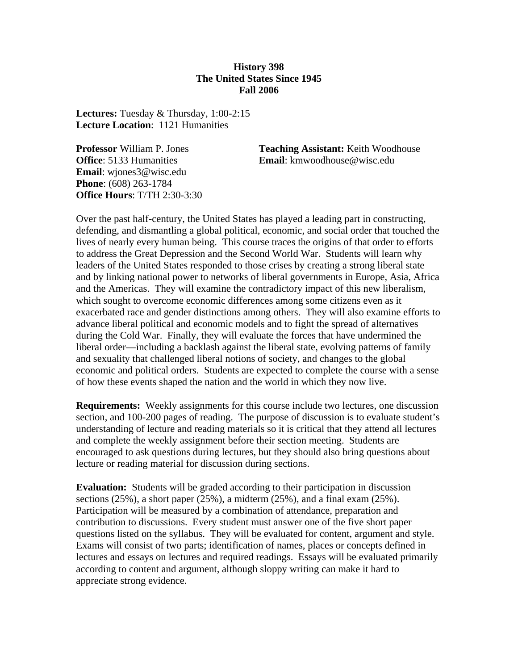### **History 398 The United States Since 1945 Fall 2006**

**Lectures:** Tuesday & Thursday, 1:00-2:15 **Lecture Location**: 1121 Humanities

**Email**: wjones3@wisc.edu **Phone**: (608) 263-1784 **Office Hours**: T/TH 2:30-3:30

**Professor** William P. Jones **Teaching Assistant:** Keith Woodhouse **Office**: 5133 Humanities **Email**: kmwoodhouse@wisc.edu

Over the past half-century, the United States has played a leading part in constructing, defending, and dismantling a global political, economic, and social order that touched the lives of nearly every human being. This course traces the origins of that order to efforts to address the Great Depression and the Second World War. Students will learn why leaders of the United States responded to those crises by creating a strong liberal state and by linking national power to networks of liberal governments in Europe, Asia, Africa and the Americas. They will examine the contradictory impact of this new liberalism, which sought to overcome economic differences among some citizens even as it exacerbated race and gender distinctions among others. They will also examine efforts to advance liberal political and economic models and to fight the spread of alternatives during the Cold War. Finally, they will evaluate the forces that have undermined the liberal order—including a backlash against the liberal state, evolving patterns of family and sexuality that challenged liberal notions of society, and changes to the global economic and political orders. Students are expected to complete the course with a sense of how these events shaped the nation and the world in which they now live.

**Requirements:** Weekly assignments for this course include two lectures, one discussion section, and 100-200 pages of reading. The purpose of discussion is to evaluate student's understanding of lecture and reading materials so it is critical that they attend all lectures and complete the weekly assignment before their section meeting. Students are encouraged to ask questions during lectures, but they should also bring questions about lecture or reading material for discussion during sections.

**Evaluation:** Students will be graded according to their participation in discussion sections  $(25\%)$ , a short paper  $(25\%)$ , a midterm  $(25\%)$ , and a final exam  $(25\%)$ . Participation will be measured by a combination of attendance, preparation and contribution to discussions. Every student must answer one of the five short paper questions listed on the syllabus. They will be evaluated for content, argument and style. Exams will consist of two parts; identification of names, places or concepts defined in lectures and essays on lectures and required readings. Essays will be evaluated primarily according to content and argument, although sloppy writing can make it hard to appreciate strong evidence.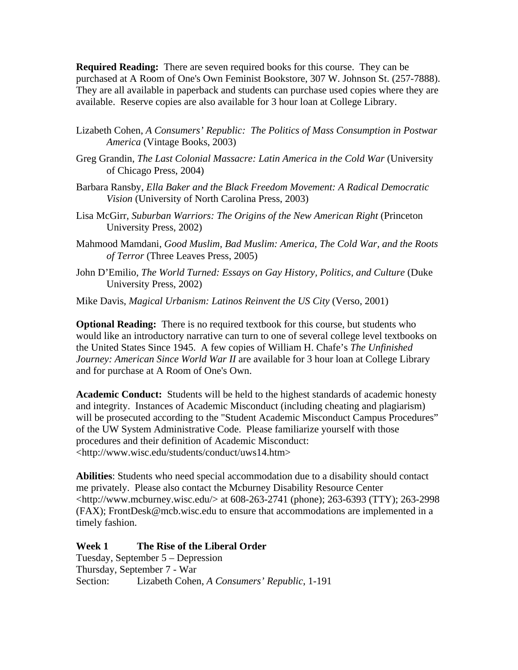**Required Reading:** There are seven required books for this course. They can be purchased at A Room of One's Own Feminist Bookstore, 307 W. Johnson St. (257-7888). They are all available in paperback and students can purchase used copies where they are available. Reserve copies are also available for 3 hour loan at College Library.

- Lizabeth Cohen, *A Consumers' Republic: The Politics of Mass Consumption in Postwar America* (Vintage Books, 2003)
- Greg Grandin, *The Last Colonial Massacre: Latin America in the Cold War* (University of Chicago Press, 2004)
- Barbara Ransby, *Ella Baker and the Black Freedom Movement: A Radical Democratic Vision* (University of North Carolina Press, 2003)
- Lisa McGirr, *Suburban Warriors: The Origins of the New American Right* (Princeton University Press, 2002)
- Mahmood Mamdani, *Good Muslim, Bad Muslim: America, The Cold War, and the Roots of Terror* (Three Leaves Press, 2005)
- John D'Emilio, *The World Turned: Essays on Gay History, Politics, and Culture* (Duke University Press, 2002)
- Mike Davis, *Magical Urbanism: Latinos Reinvent the US City* (Verso, 2001)

**Optional Reading:** There is no required textbook for this course, but students who would like an introductory narrative can turn to one of several college level textbooks on the United States Since 1945. A few copies of William H. Chafe's *The Unfinished Journey: American Since World War II* are available for 3 hour loan at College Library and for purchase at A Room of One's Own.

**Academic Conduct:** Students will be held to the highest standards of academic honesty and integrity. Instances of Academic Misconduct (including cheating and plagiarism) will be prosecuted according to the "Student Academic Misconduct Campus Procedures" of the UW System Administrative Code. Please familiarize yourself with those procedures and their definition of Academic Misconduct: <http://www.wisc.edu/students/conduct/uws14.htm>

**Abilities**: Students who need special accommodation due to a disability should contact me privately. Please also contact the Mcburney Disability Resource Center <http://www.mcburney.wisc.edu/> at 608-263-2741 (phone); 263-6393 (TTY); 263-2998 (FAX); FrontDesk@mcb.wisc.edu to ensure that accommodations are implemented in a timely fashion.

**Week 1 The Rise of the Liberal Order**  Tuesday, September 5 – Depression Thursday, September 7 - War Section: Lizabeth Cohen, *A Consumers' Republic*, 1-191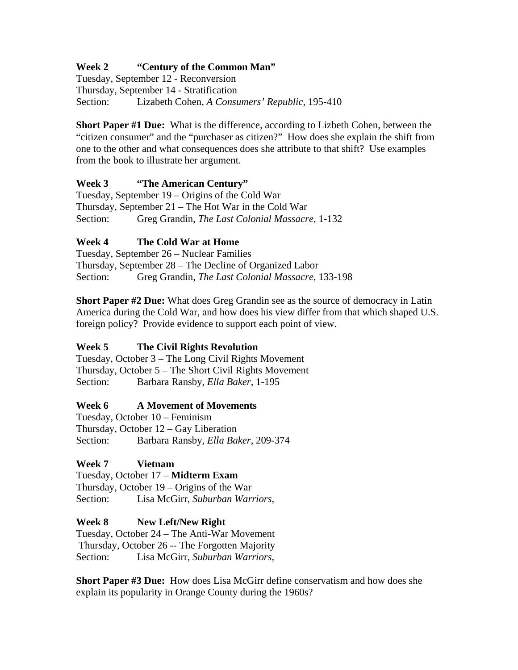# **Week 2 "Century of the Common Man"**

Tuesday, September 12 - Reconversion Thursday, September 14 - Stratification Section: Lizabeth Cohen, *A Consumers' Republic*, 195-410

**Short Paper #1 Due:** What is the difference, according to Lizbeth Cohen, between the "citizen consumer" and the "purchaser as citizen?" How does she explain the shift from one to the other and what consequences does she attribute to that shift? Use examples from the book to illustrate her argument.

# **Week 3 "The American Century"**

Tuesday, September 19 – Origins of the Cold War Thursday, September 21 – The Hot War in the Cold War Section: Greg Grandin, *The Last Colonial Massacre*, 1-132

# **Week 4 The Cold War at Home**

Tuesday, September 26 – Nuclear Families Thursday, September 28 – The Decline of Organized Labor Section: Greg Grandin, *The Last Colonial Massacre,* 133-198

**Short Paper #2 Due:** What does Greg Grandin see as the source of democracy in Latin America during the Cold War, and how does his view differ from that which shaped U.S. foreign policy? Provide evidence to support each point of view.

# **Week 5 The Civil Rights Revolution**

Tuesday, October 3 – The Long Civil Rights Movement Thursday, October 5 – The Short Civil Rights Movement Section: Barbara Ransby, *Ella Baker*, 1-195

# **Week 6 A Movement of Movements**

Tuesday, October 10 – Feminism Thursday, October 12 – Gay Liberation Section: Barbara Ransby, *Ella Baker*, 209-374

# **Week 7 Vietnam**

Tuesday, October 17 – **Midterm Exam**  Thursday, October 19 – Origins of the War Section: Lisa McGirr, *Suburban Warriors,*

# **Week 8 New Left/New Right**

Tuesday, October 24 – The Anti-War Movement Thursday, October 26 -- The Forgotten Majority Section: Lisa McGirr, *Suburban Warriors,* 

**Short Paper #3 Due:** How does Lisa McGirr define conservatism and how does she explain its popularity in Orange County during the 1960s?